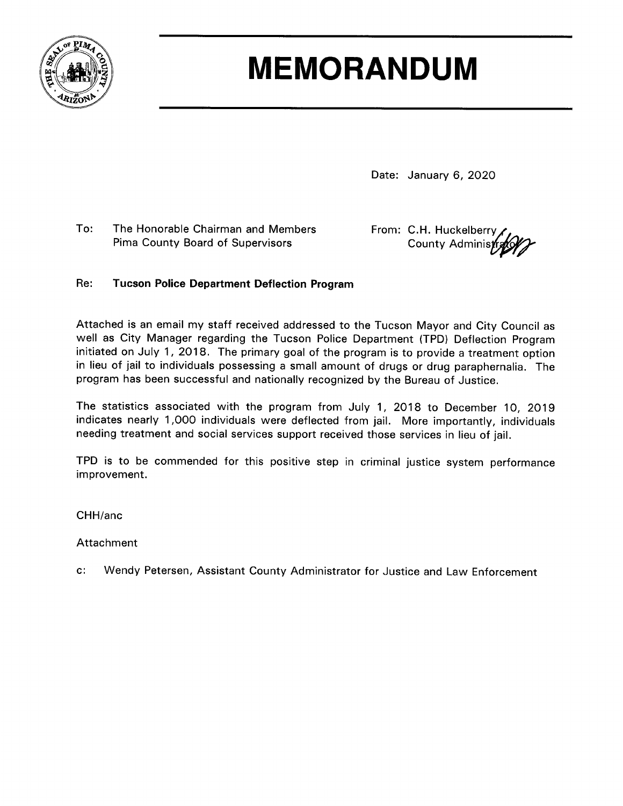

## **MEMORANDUM**

Date: January 6, 2020

To: The Honorable Chairman and Members Pima County Board of Supervisors

From: C.H. Huckelberry County Administ

## Re: **Tucson Police Department Deflection Program**

Attached is an email my staff received addressed to the Tucson Mayor and City Council as well as City Manager regarding the Tucson Police Department (TPD) Deflection Program initiated on July 1, 2018. The primary goal of the program is to provide a treatment option in lieu of jail to individuals possessing a small amount of drugs or drug paraphernalia. The program has been successful and nationally recognized by the Bureau of Justice.

The statistics associated with the program from July 1, 2018 to December 10, 2019 indicates nearly 1,000 individuals were deflected from jail. More importantly, individuals needing treatment and social services support received those services in lieu of jail.

TPD is to be commended for this positive step in criminal justice system performance improvement.

CHH/anc

Attachment

 $\mathbf{c}$ . Wendy Petersen, Assistant County Administrator for Justice and Law Enforcement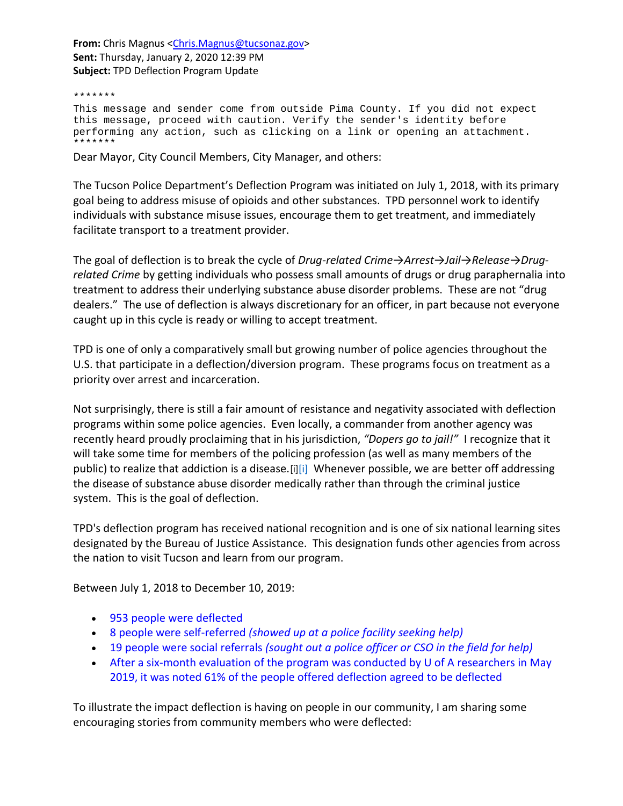From: Chris Magnus [<Chris.Magnus@tucsonaz.gov>](mailto:Chris.Magnus@tucsonaz.gov) **Sent:** Thursday, January 2, 2020 12:39 PM **Subject:** TPD Deflection Program Update

\*\*\*\*\*\*\* This message and sender come from outside Pima County. If you did not expect this message, proceed with caution. Verify the sender's identity before performing any action, such as clicking on a link or opening an attachment. \*\*\*\*\*\*\*

Dear Mayor, City Council Members, City Manager, and others:

The Tucson Police Department's Deflection Program was initiated on July 1, 2018, with its primary goal being to address misuse of opioids and other substances. TPD personnel work to identify individuals with substance misuse issues, encourage them to get treatment, and immediately facilitate transport to a treatment provider.

The goal of deflection is to break the cycle of *Drug-related Crime*→*Arrest*→*Jail→Release*→*Drugrelated Crime* by getting individuals who possess small amounts of drugs or drug paraphernalia into treatment to address their underlying substance abuse disorder problems. These are not "drug dealers." The use of deflection is always discretionary for an officer, in part because not everyone caught up in this cycle is ready or willing to accept treatment.

TPD is one of only a comparatively small but growing number of police agencies throughout the U.S. that participate in a deflection/diversion program. These programs focus on treatment as a priority over arrest and incarceration.

Not surprisingly, there is still a fair amount of resistance and negativity associated with deflection programs within some police agencies. Even locally, a commander from another agency was recently heard proudly proclaiming that in his jurisdiction, *"Dopers go to jail!"* I recognize that it will take some time for members of the policing profession (as well as many members of the public) to realize that addiction is a disease.[\[i\]](#page-2-0)[i] Whenever possible, we are better off addressing the disease of substance abuse disorder medically rather than through the criminal justice system. This is the goal of deflection.

TPD's deflection program has received national recognition and is one of six national learning sites designated by the Bureau of Justice Assistance. This designation funds other agencies from across the nation to visit Tucson and learn from our program.

Between July 1, 2018 to December 10, 2019:

- 953 people were deflected
- 8 people were self-referred *(showed up at a police facility seeking help)*
- 19 people were social referrals *(sought out a police officer or CSO in the field for help)*
- After a six-month evaluation of the program was conducted by U of A researchers in May 2019, it was noted 61% of the people offered deflection agreed to be deflected

To illustrate the impact deflection is having on people in our community, I am sharing some encouraging stories from community members who were deflected: